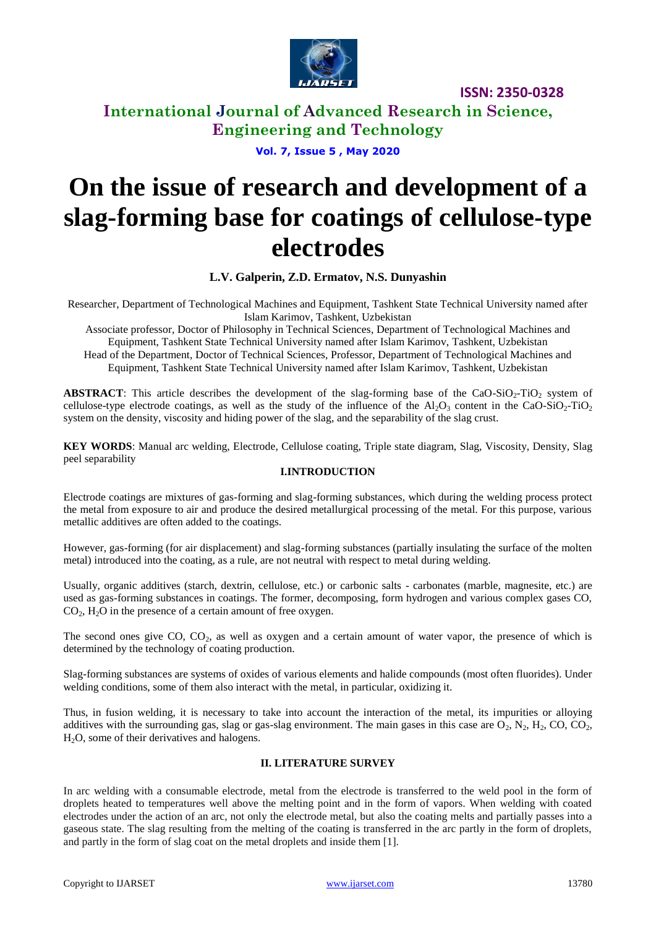

**ISSN: 2350-0328**

**International Journal of Advanced Research in Science, Engineering and Technology**

**Vol. 7, Issue 5 , May 2020**

# **On the issue of research and development of a slag-forming base for coatings of cellulose-type electrodes**

**L.V. Galperin, Z.D. Ermatov, N.S. Dunyashin**

Researcher, Department of Technological Machines and Equipment, Tashkent State Technical University named after Islam Karimov, Tashkent, Uzbekistan

Associate professor, Doctor of Philosophy in Technical Sciences, Department of Technological Machines and Equipment, Tashkent State Technical University named after Islam Karimov, Tashkent, Uzbekistan Head of the Department, Doctor of Technical Sciences, Professor, Department of Technological Machines and Equipment, Tashkent State Technical University named after Islam Karimov, Tashkent, Uzbekistan

**ABSTRACT**: This article describes the development of the slag-forming base of the CaO-SiO<sub>2</sub>-TiO<sub>2</sub> system of cellulose-type electrode coatings, as well as the study of the influence of the  $A_1O_3$  content in the CaO-SiO<sub>2</sub>-TiO<sub>2</sub> system on the density, viscosity and hiding power of the slag, and the separability of the slag crust.

**KEY WORDS**: Manual arc welding, Electrode, Cellulose coating, Triple state diagram, Slag, Viscosity, Density, Slag peel separability

#### **I.INTRODUCTION**

Electrode coatings are mixtures of gas-forming and slag-forming substances, which during the welding process protect the metal from exposure to air and produce the desired metallurgical processing of the metal. For this purpose, various metallic additives are often added to the coatings.

However, gas-forming (for air displacement) and slag-forming substances (partially insulating the surface of the molten metal) introduced into the coating, as a rule, are not neutral with respect to metal during welding.

Usually, organic additives (starch, dextrin, cellulose, etc.) or carbonic salts - carbonates (marble, magnesite, etc.) are used as gas-forming substances in coatings. The former, decomposing, form hydrogen and various complex gases CO,  $CO<sub>2</sub>$ ,  $H<sub>2</sub>O$  in the presence of a certain amount of free oxygen.

The second ones give  $CO$ ,  $CO<sub>2</sub>$ , as well as oxygen and a certain amount of water vapor, the presence of which is determined by the technology of coating production.

Slag-forming substances are systems of oxides of various elements and halide compounds (most often fluorides). Under welding conditions, some of them also interact with the metal, in particular, oxidizing it.

Thus, in fusion welding, it is necessary to take into account the interaction of the metal, its impurities or alloying additives with the surrounding gas, slag or gas-slag environment. The main gases in this case are  $O_2$ ,  $N_2$ ,  $H_2$ ,  $CO$ ,  $CO_2$ ,  $H<sub>2</sub>O$ , some of their derivatives and halogens.

#### **II. LITERATURE SURVEY**

In arc welding with a consumable electrode, metal from the electrode is transferred to the weld pool in the form of droplets heated to temperatures well above the melting point and in the form of vapors. When welding with coated electrodes under the action of an arc, not only the electrode metal, but also the coating melts and partially passes into a gaseous state. The slag resulting from the melting of the coating is transferred in the arc partly in the form of droplets, and partly in the form of slag coat on the metal droplets and inside them [1].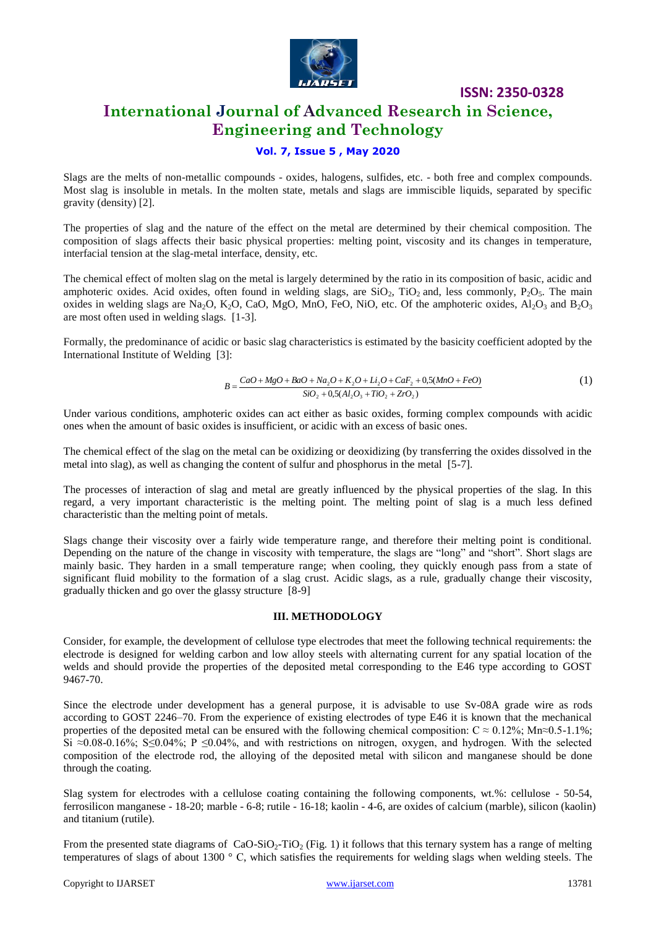

**ISSN: 2350-0328**

### **International Journal of Advanced Research in Science, Engineering and Technology**

#### **Vol. 7, Issue 5 , May 2020**

Slags are the melts of non-metallic compounds - oxides, halogens, sulfides, etc. - both free and complex compounds. Most slag is insoluble in metals. In the molten state, metals and slags are immiscible liquids, separated by specific gravity (density) [2].

The properties of slag and the nature of the effect on the metal are determined by their chemical composition. The composition of slags affects their basic physical properties: melting point, viscosity and its changes in temperature, interfacial tension at the slag-metal interface, density, etc.

The chemical effect of molten slag on the metal is largely determined by the ratio in its composition of basic, acidic and amphoteric oxides. Acid oxides, often found in welding slags, are  $SiO_2$ , TiO<sub>2</sub> and, less commonly,  $P_2O_5$ . The main oxides in welding slags are Na<sub>2</sub>O, K<sub>2</sub>O, CaO, MgO, MnO, FeO, NiO, etc. Of the amphoteric oxides,  $Al_2O_3$  and  $B_2O_3$ are most often used in welding slags. [1-3].

Formally, the predominance of acidic or basic slag characteristics is estimated by the basicity coefficient adopted by the International Institute of Welding [3]:

$$
B = \frac{CaO + MgO + BaO + Na_2O + K_2O + Li_2O + CaF_2 + 0,5(MnO + FeO)}{SiO_2 + 0,5(Al_2O_3 + TiO_2 + ZrO_2)}
$$
\n(1)

Under various conditions, amphoteric oxides can act either as basic oxides, forming complex compounds with acidic ones when the amount of basic oxides is insufficient, or acidic with an excess of basic ones.

The chemical effect of the slag on the metal can be oxidizing or deoxidizing (by transferring the oxides dissolved in the metal into slag), as well as changing the content of sulfur and phosphorus in the metal [5-7].

The processes of interaction of slag and metal are greatly influenced by the physical properties of the slag. In this regard, a very important characteristic is the melting point. The melting point of slag is a much less defined characteristic than the melting point of metals.

Slags change their viscosity over a fairly wide temperature range, and therefore their melting point is conditional. Depending on the nature of the change in viscosity with temperature, the slags are "long" and "short". Short slags are mainly basic. They harden in a small temperature range; when cooling, they quickly enough pass from a state of significant fluid mobility to the formation of a slag crust. Acidic slags, as a rule, gradually change their viscosity, gradually thicken and go over the glassy structure [8-9]

#### **III. METHODOLOGY**

Consider, for example, the development of cellulose type electrodes that meet the following technical requirements: the electrode is designed for welding carbon and low alloy steels with alternating current for any spatial location of the welds and should provide the properties of the deposited metal corresponding to the E46 type according to GOST 9467-70.

Since the electrode under development has a general purpose, it is advisable to use Sv-08A grade wire as rods according to GOST 2246–70. From the experience of existing electrodes of type E46 it is known that the mechanical properties of the deposited metal can be ensured with the following chemical composition:  $C \approx 0.12\%$ ; Mn≈0.5-1.1%; Si  $\approx 0.08$ -0.16%; S $\leq 0.04$ %; P  $\leq 0.04$ %, and with restrictions on nitrogen, oxygen, and hydrogen. With the selected composition of the electrode rod, the alloying of the deposited metal with silicon and manganese should be done through the coating.

Slag system for electrodes with a cellulose coating containing the following components, wt.%: cellulose - 50-54, ferrosilicon manganese - 18-20; marble - 6-8; rutile - 16-18; kaolin - 4-6, are oxides of calcium (marble), silicon (kaolin) and titanium (rutile).

From the presented state diagrams of  $CaO-SiO<sub>2</sub>-TiO<sub>2</sub>$  (Fig. 1) it follows that this ternary system has a range of melting temperatures of slags of about 1300 ° С, which satisfies the requirements for welding slags when welding steels. The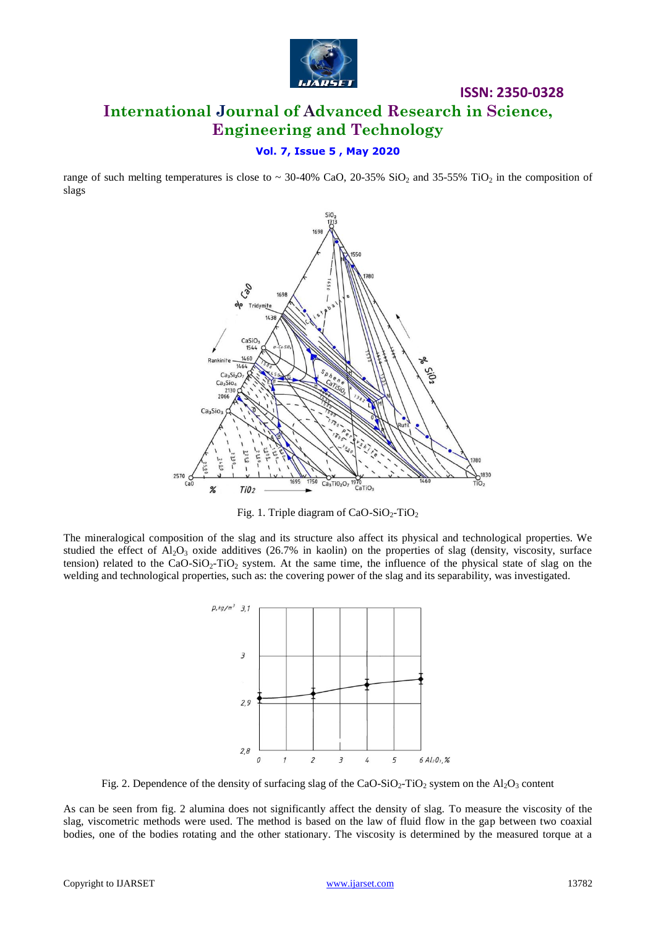

# **International Journal of Advanced Research in Science, Engineering and Technology**

**ISSN: 2350-0328**

#### **Vol. 7, Issue 5 , May 2020**

range of such melting temperatures is close to  $\sim$  30-40% CaO, 20-35% SiO<sub>2</sub> and 35-55% TiO<sub>2</sub> in the composition of slags



Fig. 1. Triple diagram of  $CaO-SiO<sub>2</sub>-TiO<sub>2</sub>$ 

The mineralogical composition of the slag and its structure also affect its physical and technological properties. We studied the effect of  $A_2O_3$  oxide additives (26.7% in kaolin) on the properties of slag (density, viscosity, surface tension) related to the CaO-SiO<sub>2</sub>-TiO<sub>2</sub> system. At the same time, the influence of the physical state of slag on the welding and technological properties, such as: the covering power of the slag and its separability, was investigated.



Fig. 2. Dependence of the density of surfacing slag of the CaO-SiO<sub>2</sub>-TiO<sub>2</sub> system on the Al<sub>2</sub>O<sub>3</sub> content

As can be seen from fig. 2 alumina does not significantly affect the density of slag. To measure the viscosity of the slag, viscometric methods were used. The method is based on the law of fluid flow in the gap between two coaxial bodies, one of the bodies rotating and the other stationary. The viscosity is determined by the measured torque at a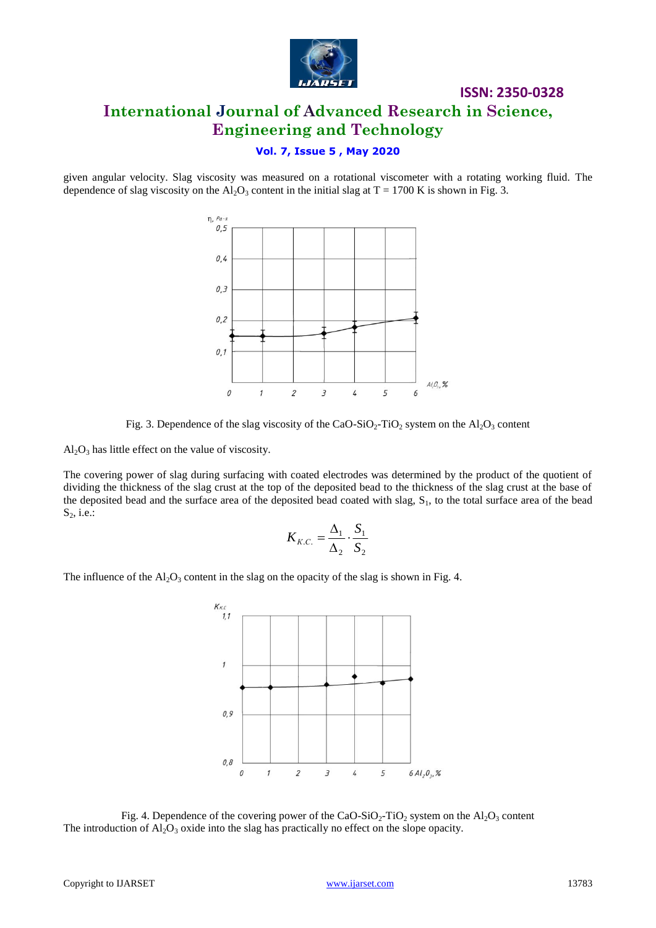

## **ISSN: 2350-0328 International Journal of Advanced Research in Science, Engineering and Technology**

#### **Vol. 7, Issue 5 , May 2020**

given angular velocity. Slag viscosity was measured on a rotational viscometer with a rotating working fluid. The dependence of slag viscosity on the Al<sub>2</sub>O<sub>3</sub> content in the initial slag at T = 1700 K is shown in Fig. 3.





 $Al_2O_3$  has little effect on the value of viscosity.

The covering power of slag during surfacing with coated electrodes was determined by the product of the quotient of dividing the thickness of the slag crust at the top of the deposited bead to the thickness of the slag crust at the base of the deposited bead and the surface area of the deposited bead coated with slag,  $S<sub>1</sub>$ , to the total surface area of the bead  $S_2$ , i.e.:

$$
K_{K.C.} = \frac{\Delta_1}{\Delta_2} \cdot \frac{S_1}{S_2}
$$

The influence of the  $Al_2O_3$  content in the slag on the opacity of the slag is shown in Fig. 4.



Fig. 4. Dependence of the covering power of the CaO-SiO<sub>2</sub>-TiO<sub>2</sub> system on the Al<sub>2</sub>O<sub>3</sub> content The introduction of  $A_2O_3$  oxide into the slag has practically no effect on the slope opacity.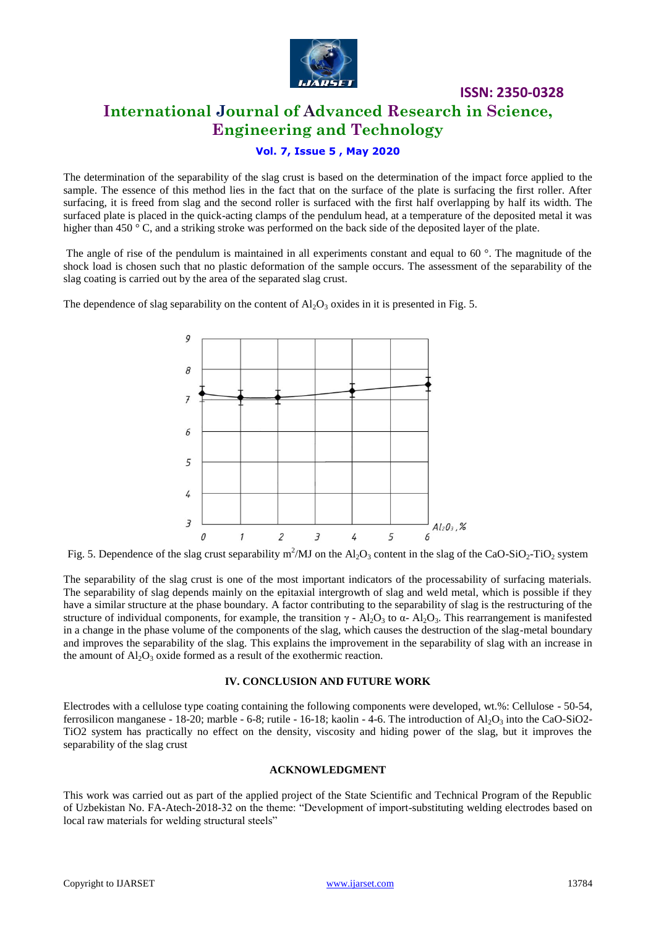

# **International Journal of Advanced Research in Science, Engineering and Technology**

**ISSN: 2350-0328**

#### **Vol. 7, Issue 5 , May 2020**

The determination of the separability of the slag crust is based on the determination of the impact force applied to the sample. The essence of this method lies in the fact that on the surface of the plate is surfacing the first roller. After surfacing, it is freed from slag and the second roller is surfaced with the first half overlapping by half its width. The surfaced plate is placed in the quick-acting clamps of the pendulum head, at a temperature of the deposited metal it was higher than 450 ° C, and a striking stroke was performed on the back side of the deposited layer of the plate.

The angle of rise of the pendulum is maintained in all experiments constant and equal to 60 °. The magnitude of the shock load is chosen such that no plastic deformation of the sample occurs. The assessment of the separability of the slag coating is carried out by the area of the separated slag crust.

The dependence of slag separability on the content of  $Al_2O_3$  oxides in it is presented in Fig. 5.



Fig. 5. Dependence of the slag crust separability m<sup>2</sup>/MJ on the Al<sub>2</sub>O<sub>3</sub> content in the slag of the CaO-SiO<sub>2</sub>-TiO<sub>2</sub> system

The separability of the slag crust is one of the most important indicators of the processability of surfacing materials. The separability of slag depends mainly on the epitaxial intergrowth of slag and weld metal, which is possible if they have a similar structure at the phase boundary. A factor contributing to the separability of slag is the restructuring of the structure of individual components, for example, the transition  $\gamma$  - Al<sub>2</sub>O<sub>3</sub> to  $\alpha$ - Al<sub>2</sub>O<sub>3</sub>. This rearrangement is manifested in a change in the phase volume of the components of the slag, which causes the destruction of the slag-metal boundary and improves the separability of the slag. This explains the improvement in the separability of slag with an increase in the amount of  $Al_2O_3$  oxide formed as a result of the exothermic reaction.

#### **IV. CONCLUSION AND FUTURE WORK**

Electrodes with a cellulose type coating containing the following components were developed, wt.%: Cellulose - 50-54, ferrosilicon manganese - 18-20; marble - 6-8; rutile - 16-18; kaolin - 4-6. The introduction of  $Al_2O_3$  into the CaO-SiO2-TiO2 system has practically no effect on the density, viscosity and hiding power of the slag, but it improves the separability of the slag crust

#### **ACKNOWLEDGMENT**

This work was carried out as part of the applied project of the State Scientific and Technical Program of the Republic of Uzbekistan No. FA-Atech-2018-32 on the theme: "Development of import-substituting welding electrodes based on local raw materials for welding structural steels"